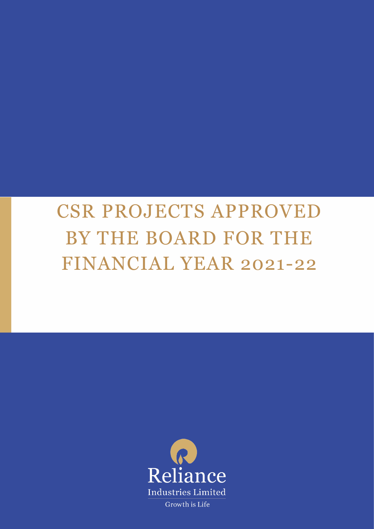# CSR PROJECTS APPROVED BY THE BOARD FOR THE FINANCIAL YEAR 2021-22

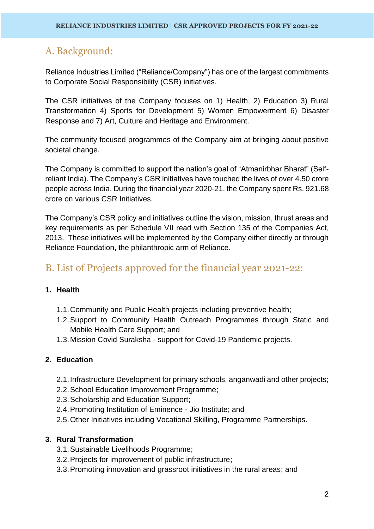# A. Background:

Reliance Industries Limited ("Reliance/Company") has one of the largest commitments to Corporate Social Responsibility (CSR) initiatives.

The CSR initiatives of the Company focuses on 1) Health, 2) Education 3) Rural Transformation 4) Sports for Development 5) Women Empowerment 6) Disaster Response and 7) Art, Culture and Heritage and Environment.

The community focused programmes of the Company aim at bringing about positive societal change.

The Company is committed to support the nation's goal of "Atmanirbhar Bharat" (Selfreliant India). The Company's CSR initiatives have touched the lives of over 4.50 crore people across India. During the financial year 2020-21, the Company spent Rs. 921.68 crore on various CSR Initiatives.

The Company's CSR policy and initiatives outline the vision, mission, thrust areas and key requirements as per Schedule VII read with Section 135 of the Companies Act, 2013. These initiatives will be implemented by the Company either directly or through Reliance Foundation, the philanthropic arm of Reliance.

# B. List of Projects approved for the financial year 2021-22:

# **1. Health**

- 1.1.Community and Public Health projects including preventive health;
- 1.2.Support to Community Health Outreach Programmes through Static and Mobile Health Care Support; and
- 1.3.Mission Covid Suraksha support for Covid-19 Pandemic projects.

# **2. Education**

- 2.1.Infrastructure Development for primary schools, anganwadi and other projects;
- 2.2.School Education Improvement Programme;
- 2.3.Scholarship and Education Support;
- 2.4.Promoting Institution of Eminence Jio Institute; and
- 2.5.Other Initiatives including Vocational Skilling, Programme Partnerships.

## **3. Rural Transformation**

- 3.1.Sustainable Livelihoods Programme;
- 3.2.Projects for improvement of public infrastructure;
- 3.3.Promoting innovation and grassroot initiatives in the rural areas; and